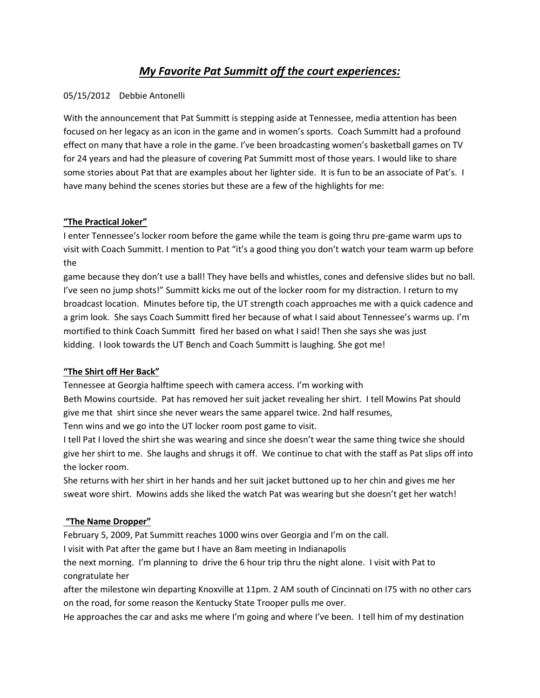# *My Favorite Pat Summitt off the court experiences:*

#### 05/15/2012 Debbie Antonelli

With the announcement that Pat Summitt is stepping aside at Tennessee, media attention has been focused on her legacy as an icon in the game and in women's sports. Coach Summitt had a profound effect on many that have a role in the game. I've been broadcasting women's basketball games on TV for 24 years and had the pleasure of covering Pat Summitt most of those years. I would like to share some stories about Pat that are examples about her lighter side. It is fun to be an associate of Pat's. I have many behind the scenes stories but these are a few of the highlights for me:

#### **"The Practical Joker"**

I enter Tennessee's locker room before the game while the team is going thru pre-game warm ups to visit with Coach Summitt. I mention to Pat "it's a good thing you don't watch your team warm up before the

game because they don't use a ball! They have bells and whistles, cones and defensive slides but no ball. I've seen no jump shots!" Summitt kicks me out of the locker room for my distraction. I return to my broadcast location. Minutes before tip, the UT strength coach approaches me with a quick cadence and a grim look. She says Coach Summitt fired her because of what I said about Tennessee's warms up. I'm mortified to think Coach Summitt fired her based on what I said! Then she says she was just kidding. I look towards the UT Bench and Coach Summitt is laughing. She got me!

#### **"The Shirt off Her Back"**

Tennessee at Georgia halftime speech with camera access. I'm working with

Beth Mowins courtside. Pat has removed her suit jacket revealing her shirt. I tell Mowins Pat should give me that shirt since she never wears the same apparel twice. 2nd half resumes,

Tenn wins and we go into the UT locker room post game to visit.

I tell Pat I loved the shirt she was wearing and since she doesn't wear the same thing twice she should give her shirt to me. She laughs and shrugs it off. We continue to chat with the staff as Pat slips off into the locker room.

She returns with her shirt in her hands and her suit jacket buttoned up to her chin and gives me her sweat wore shirt. Mowins adds she liked the watch Pat was wearing but she doesn't get her watch!

### **"The Name Dropper"**

February 5, 2009, Pat Summitt reaches 1000 wins over Georgia and I'm on the call.

I visit with Pat after the game but I have an 8am meeting in Indianapolis

the next morning. I'm planning to drive the 6 hour trip thru the night alone. I visit with Pat to congratulate her

after the milestone win departing Knoxville at 11pm. 2 AM south of Cincinnati on I75 with no other cars on the road, for some reason the Kentucky State Trooper pulls me over.

He approaches the car and asks me where I'm going and where I've been. I tell him of my destination